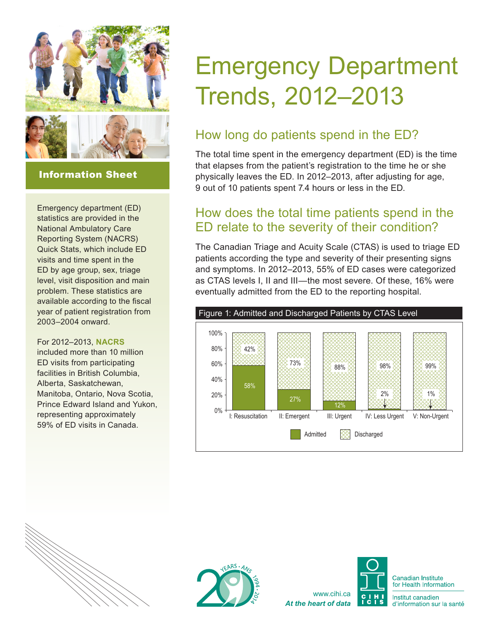

#### Information Sheet

Emergency department (ED) statistics are provided in the National Ambulatory Care Reporting System (NACRS) Quick Stats, which include ED visits and time spent in the ED by age group, sex, triage level, visit disposition and main problem. These statistics are available according to the fiscal year of patient registration from 2003–2004 onward.

#### For 2012–2013, **[NACRS](http://www.cihi.ca/cihi-ext-portal/internet/en/document/types+of+care/hospital+care/emergency+care/nacrs_metadata)**

included more than 10 million ED visits from participating facilities in British Columbia, Alberta, Saskatchewan, Manitoba, Ontario, Nova Scotia, Prince Edward Island and Yukon, representing approximately 59% of ED visits in Canada.

# Emergency Department Trends, 2012–2013

## How long do patients spend in the ED?

The total time spent in the emergency department (ED) is the time that elapses from the patient's registration to the time he or she physically leaves the ED. In 2012–2013, after adjusting for age, 9 out of 10 patients spent 7.4 hours or less in the ED.

#### How does the total time patients spend in the ED relate to the severity of their condition?

The Canadian Triage and Acuity Scale (CTAS) is used to triage ED patients according the type and severity of their presenting signs and symptoms. In 2012–2013, 55% of ED cases were categorized as CTAS levels I, II and III—the most severe. Of these, 16% were eventually admitted from the ED to the reporting hospital.







**Canadian Institute** for Health Information

Institut canadien d'information sur la santé